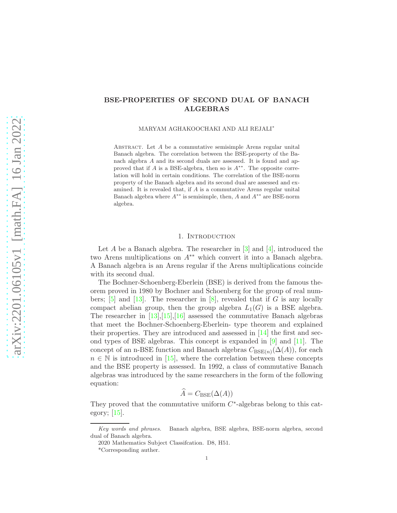# BSE-PROPERTIES OF SECOND DUAL OF BANACH ALGEBRAS

MARYAM AGHAKOOCHAKI AND ALI REJALI<sup>∗</sup>

ABSTRACT. Let  $A$  be a commutative semisimple Arens regular unital Banach algebra. The correlation between the BSE-property of the Banach algebra A and its second duals are assessed. It is found and approved that if  $A$  is a BSE-algebra, then so is  $A^{**}$ . The opposite correlation will hold in certain conditions. The correlation of the BSE-norm property of the Banach algebra and its second dual are assessed and examined. It is revealed that, if A is a commutative Arens regular unital Banach algebra where  $A^{**}$  is semisimple, then, A and  $A^{**}$  are BSE-norm algebra.

# 1. INTRODUCTION

Let  $A$  be a Banach algebra. The researcher in  $[3]$  and  $[4]$ , introduced the two Arens multiplications on  $A^{**}$  which convert it into a Banach algebra. A Banach algebra is an Arens regular if the Arens multiplications coincide with its second dual.

The Bochner-Schoenberg-Eberlein (BSE) is derived from the famous theorem proved in 1980 by Bochner and Schoenberg for the group of real num-bers; [\[5\]](#page-7-2) and [\[13\]](#page-8-0). The researcher in [\[8\]](#page-8-1), revealed that if G is any locally compact abelian group, then the group algebra  $L_1(G)$  is a BSE algebra. The researcher in  $[13], [15], [16]$  $[13], [15], [16]$  $[13], [15], [16]$  $[13], [15], [16]$  assessed the commutative Banach algebras that meet the Bochner-Schoenberg-Eberlein- type theorem and explained their properties. They are introduced and assessed in  $\lfloor 14 \rfloor$  the first and second types of BSE algebras. This concept is expanded in [\[9\]](#page-8-5) and [\[11\]](#page-8-6). The concept of an n-BSE function and Banach algebras  $C_{BSE(n)}(\Delta(A))$ , for each  $n \in \mathbb{N}$  is introduced in [\[15\]](#page-8-2), where the correlation between these concepts and the BSE property is assessed. In 1992, a class of commutative Banach algebras was introduced by the same researchers in the form of the following equation:

$$
\widehat{A} = C_{\text{BSE}}(\Delta(A))
$$

They proved that the commutative uniform  $C^*$ -algebras belong to this category; [\[15\]](#page-8-2).

Key words and phrases. Banach algebra, BSE algebra, BSE-norm algebra, second dual of Banach algebra.

<sup>2020</sup> Mathematics Subject Classifcation. D8, H51.

<sup>\*</sup>Corresponding auther.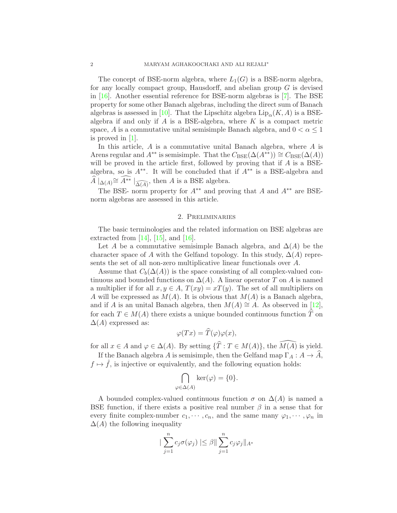The concept of BSE-norm algebra, where  $L_1(G)$  is a BSE-norm algebra, for any locally compact group, Hausdorff, and abelian group  $G$  is devised in [\[16\]](#page-8-3). Another essential reference for BSE-norm algebras is [\[7\]](#page-8-7). The BSE property for some other Banach algebras, including the direct sum of Banach algebras is assessed in [\[10\]](#page-8-8). That the Lipschitz algebra  $\text{Lip}_{\alpha}(K, A)$  is a BSEalgebra if and only if  $\tilde{A}$  is a BSE-algebra, where  $\tilde{K}$  is a compact metric space, A is a commutative unital semisimple Banach algebra, and  $0 < \alpha \leq 1$ is proved in [\[1\]](#page-7-3).

In this article, A is a commutative unital Banach algebra, where A is Arens regular and  $A^{**}$  is semisimple. That the  $C_{BSE}(\Delta(A^{**})) \cong C_{BSE}(\Delta(A))$ will be proved in the article first, followed by proving that if  $A$  is a BSEalgebra, so is  $A^{**}$ . It will be concluded that if  $A^{**}$  is a BSE-algebra and  $\widehat{A} |_{\Delta(A)} \cong \widehat{A^{**}} |_{\widehat{\Delta(A)}}$ , then A is a BSE algebra.

The BSE- norm property for  $A^{**}$  and proving that A and  $A^{**}$  are BSEnorm algebras are assessed in this article.

## 2. Preliminaries

The basic terminologies and the related information on BSE algebras are extracted from  $[14]$ ,  $[15]$ , and  $[16]$ .

Let A be a commutative semisimple Banach algebra, and  $\Delta(A)$  be the character space of A with the Gelfand topology. In this study,  $\Delta(A)$  represents the set of all non-zero multiplicative linear functionals over A.

Assume that  $C_b(\Delta(A))$  is the space consisting of all complex-valued continuous and bounded functions on  $\Delta(A)$ . A linear operator T on A is named a multiplier if for all  $x, y \in A$ ,  $T(xy) = xT(y)$ . The set of all multipliers on A will be expressed as  $M(A)$ . It is obvious that  $M(A)$  is a Banach algebra, and if A is an unital Banach algebra, then  $M(A) \cong A$ . As observed in [\[12\]](#page-8-9), for each  $T \in M(A)$  there exists a unique bounded continuous function  $\hat{T}$  on  $\Delta(A)$  expressed as:

$$
\varphi(Tx) = \tilde{T}(\varphi)\varphi(x),
$$

for all  $x \in A$  and  $\varphi \in \Delta(A)$ . By setting  $\{\widehat{T} : T \in M(A)\}\)$ , the  $\widehat{M(A)}$  is yield.

If the Banach algebra A is semisimple, then the Gelfand map  $\Gamma_A : A \to \hat{A}$ ,  $f \mapsto \hat{f}$ , is injective or equivalently, and the following equation holds:

$$
\bigcap_{\varphi \in \Delta(A)} \ker(\varphi) = \{0\}.
$$

A bounded complex-valued continuous function  $\sigma$  on  $\Delta(A)$  is named a BSE function, if there exists a positive real number  $\beta$  in a sense that for every finite complex-number  $c_1, \dots, c_n$ , and the same many  $\varphi_1, \dots, \varphi_n$  in  $\Delta(A)$  the following inequality

$$
\|\sum_{j=1}^n c_j \sigma(\varphi_j) \| \leq \beta \|\sum_{j=1}^n c_j \varphi_j \|_{A^*}
$$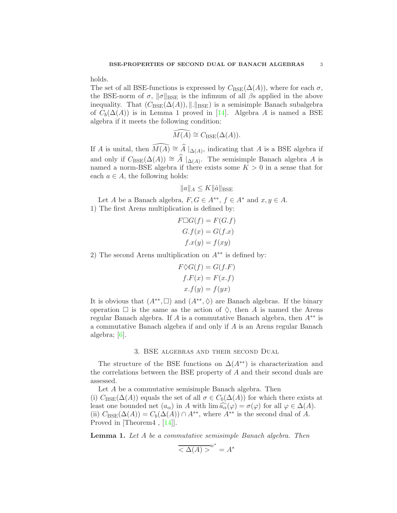holds.

The set of all BSE-functions is expressed by  $C_{BSE}(\Delta(A))$ , where for each  $\sigma$ , the BSE-norm of  $\sigma$ ,  $\|\sigma\|_{\text{BSE}}$  is the infimum of all  $\beta$ s applied in the above inequality. That  $(C_{BSE}(\Delta(A)), \| \|_{BSE})$  is a semisimple Banach subalgebra of  $C_b(\Delta(A))$  is in Lemma 1 proved in [\[14\]](#page-8-4). Algebra A is named a BSE algebra if it meets the following condition:

$$
\widehat{M(A)} \cong C_{BSE}(\Delta(A)).
$$

If A is unital, then  $\widehat{M(A)} \cong \widehat{A} |_{\Delta(A)}$ , indicating that A is a BSE algebra if and only if  $C_{BSE}(\Delta(A)) \cong \hat{A} |_{\Delta(A)}$ . The semisimple Banach algebra A is named a norm-BSE algebra if there exists some  $K > 0$  in a sense that for each  $a \in A$ , the following holds:

$$
||a||_A \le K ||\hat{a}||_{BSE}
$$

Let A be a Banach algebra,  $F, G \in A^{**}, f \in A^*$  and  $x, y \in A$ . 1) The first Arens multiplication is defined by:

$$
F \Box G(f) = F(G.f)
$$
  
\n
$$
G.f(x) = G(f.x)
$$
  
\n
$$
f.x(y) = f(xy)
$$

2) The second Arens multiplication on  $A^{**}$  is defined by:

$$
F \diamondsuit G(f) = G(f.F)
$$
  

$$
f.F(x) = F(x.f)
$$
  

$$
x.f(y) = f(yx)
$$

It is obvious that  $(A^{**}, \Box)$  and  $(A^{**}, \Diamond)$  are Banach algebras. If the binary operation  $\Box$  is the same as the action of  $\diamondsuit$ , then A is named the Arens regular Banach algebra. If A is a commutative Banach algebra, then  $A^{**}$  is a commutative Banach algebra if and only if A is an Arens regular Banach algebra; [\[6\]](#page-7-4).

#### 3. BSE algebras and their second Dual

The structure of the BSE functions on  $\Delta(A^{**})$  is characterization and the correlations between the BSE property of A and their second duals are assessed.

Let A be a commutative semisimple Banach algebra. Then (i)  $C_{\text{BSE}}(\Delta(A))$  equals the set of all  $\sigma \in C_b(\Delta(A))$  for which there exists at least one bounded net  $(a_{\alpha})$  in A with  $\lim_{\alpha} \widehat{a_{\alpha}}(\varphi) = \sigma(\varphi)$  for all  $\varphi \in \Delta(A)$ . (ii)  $C_{BSE}(\Delta(A)) = C_b(\Delta(A)) \cap A^{**}$ , where  $A^{**}$  is the second dual of A. Proved in [Theorem4 , [\[14\]](#page-8-4)].

<span id="page-2-0"></span>Lemma 1. *Let* A *be a commutative semisimple Banach algebra. Then*

$$
\overline{<\Delta(A)>}^{w^*}=A^*
$$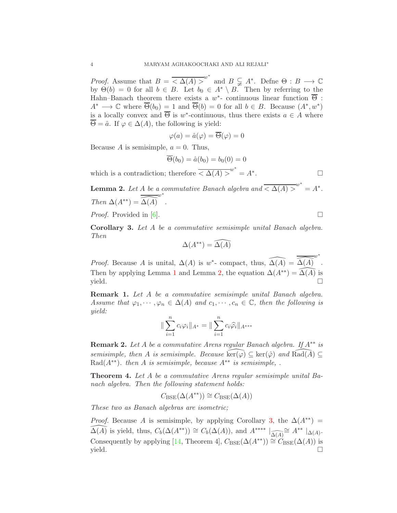*Proof.* Assume that  $B = \overline{\langle \Delta(A) \rangle}^{w^*}$  and  $B \subsetneq A^*$ . Define  $\Theta : B \longrightarrow \mathbb{C}$ by  $\Theta(b) = 0$  for all  $b \in B$ . Let  $b_0 \in A^* \setminus B$ . Then by referring to the Hahn–Banach theorem there exists a  $w^*$ - continuous linear function  $\overline{\Theta}$ :  $A^* \longrightarrow \mathbb{C}$  where  $\overline{\Theta}(b_0) = 1$  and  $\overline{\Theta}(b) = 0$  for all  $b \in B$ . Because  $(A^*, w^*)$ is a locally convex and  $\overline{\Theta}$  is w<sup>\*</sup>-continuous, thus there exists  $a \in A$  where  $\overline{\Theta} = \hat{a}$ . If  $\varphi \in \Delta(A)$ , the following is yield:

$$
\varphi(a) = \hat{a}(\varphi) = \overline{\Theta}(\varphi) = 0
$$

Because A is semisimple,  $a = 0$ . Thus,

$$
\overline{\Theta}(b_0) = \hat{a}(b_0) = b_0(0) = 0
$$

which is a contradiction; therefore  $\overline{\langle \Delta(A) \rangle}^{w^*} = A^*$ . — Процессиональные просто производства и продага в собстановки производства и производства и производства и<br>В собстановки производства и производства и производства и производства и производства и производства и произв

<span id="page-3-0"></span>**Lemma 2.** Let A be a commutative Banach algebra and  $\overline{\langle \Delta(A) \rangle}^{w^*} = A^*$ . *Then*  $\Delta(A^{**}) = \widehat{\Delta(A)}$ w∗ *.*

*Proof.* Provided in [\[6\]](#page-7-4). □

<span id="page-3-1"></span>Corollary 3. *Let* A *be a commutative semisimple unital Banach algebra. Then*

$$
\Delta(A^{**}) = \widehat{\Delta(A)}
$$

*Proof.* Because A is unital,  $\Delta(A)$  is w<sup>\*</sup>- compact, thus,  $\widehat{\Delta(A)} = \widehat{\Delta(A)}$ w∗ . Then by applying Lemma [1](#page-2-0) and Lemma [2,](#page-3-0) the equation  $\Delta(A^{**}) = \widehat{\Delta(A)}$  is  $yield.$ 

Remark 1. *Let* A *be a commutative semisimple unital Banach algebra. Assume that*  $\varphi_1, \dots, \varphi_n \in \Delta(A)$  *and*  $c_1, \dots, c_n \in \mathbb{C}$ *, then the following is yield:*

$$
\|\sum_{i=1}^n c_i \varphi_i\|_{A^*} = \|\sum_{i=1}^n c_i \widehat{\varphi}_i\|_{A^{***}}
$$

Remark 2. *Let* A *be a commutative Arens regular Banach algebra. If* A∗∗ *is semisimple, then A is semisimple. Because*  $\widehat{\text{ker}}(\varphi) \subseteq \text{ker}(\varphi)$  *and*  $\widehat{\text{Rad}(A)} \subseteq$ Rad( $A^{**}$ )*. then* A *is semisimple, because*  $A^{**}$  *is semisimple, .* 

Theorem 4. *Let* A *be a commutative Arens regular semisimple unital Banach algebra. Then the following statement holds:*

 $C_{BSE}(\Delta(A^{**})) \cong C_{BSE}(\Delta(A))$ 

*These two as Banach algebras are isometric;*

*Proof.* Because A is semisimple, by applying Corollary [3,](#page-3-1) the  $\Delta(A^{**})$  = *Proof.* Because A is semisimple, by applying Corollary 3, the  $\Delta(A^{**}) = \widehat{\Delta(A)}$  is yield, thus,  $C_b(\Delta(A^{**})) \cong C_b(\Delta(A))$ , and  $A^{***} \mid_{\widehat{\Delta(A)}} \cong A^{**} \mid_{\Delta(A)}$ . Consequently by applying [\[14,](#page-8-4) Theorem 4],  $C_{BSE}(\Delta(A^{**})) \cong C_{BSE}(\Delta(A))$  is  $yield.$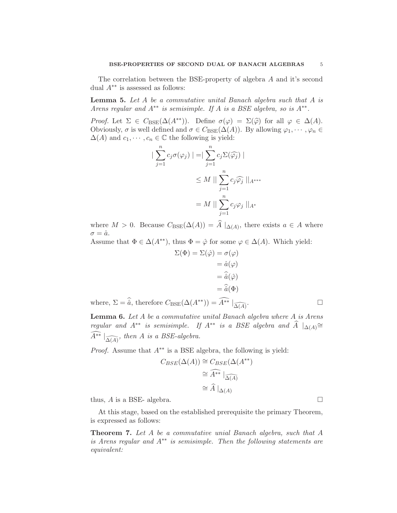The correlation between the BSE-property of algebra A and it's second dual  $A^{**}$  is assessed as follows:

<span id="page-4-0"></span>Lemma 5. *Let* A *be a commutative unital Banach algebra such that* A *is Arens regular and*  $A^{**}$  *is semisimple. If A is a BSE algebra, so is*  $A^{**}$ *.* 

*Proof.* Let  $\Sigma \in C_{BSE}(\Delta(A^{**}))$ . Define  $\sigma(\varphi) = \Sigma(\widehat{\varphi})$  for all  $\varphi \in \Delta(A)$ . Obviously,  $\sigma$  is well defined and  $\sigma \in C_{BSE}(\Delta(A))$ . By allowing  $\varphi_1, \dots, \varphi_n \in$  $\Delta(A)$  and  $c_1, \dots, c_n \in \mathbb{C}$  the following is yield:

$$
\begin{aligned} \left| \sum_{j=1}^{n} c_j \sigma(\varphi_j) \right| &= \left| \sum_{j=1}^{n} c_j \Sigma(\widehat{\varphi_j}) \right| \\ &\le M \left| \left| \sum_{j=1}^{n} c_j \widehat{\varphi_j} \right| \right|_{A^{***}} \\ &= M \left| \left| \sum_{j=1}^{n} c_j \varphi_j \right| \right|_{A^*} \end{aligned}
$$

where  $M > 0$ . Because  $C_{BSE}(\Delta(A)) = A|_{\Delta(A)}$ , there exists  $a \in A$  where  $\sigma = \hat{a}.$ 

Assume that  $\Phi \in \Delta(A^{**})$ , thus  $\Phi = \hat{\varphi}$  for some  $\varphi \in \Delta(A)$ . Which yield:

$$
\Sigma(\Phi) = \Sigma(\hat{\varphi}) = \sigma(\varphi)
$$

$$
= \hat{a}(\varphi)
$$

$$
= \hat{a}(\hat{\varphi})
$$

$$
= \hat{a}(\hat{\varphi})
$$

$$
= \hat{a}(\Phi)
$$

where,  $\Sigma = \hat{\hat{a}}$ , therefore  $C_{BSE}(\Delta(A^{**})) = \widehat{A^{**}} \mid_{\widehat{\Delta(A)}}$ . . — Процессиональные производствовались и производствовались и производствовались и производствовались и произ<br>В собстановки производствовались производствовались производствовались производствовались и производствовались

Lemma 6. *Let* A *be a commutative unital Banach algebra where* A *is Arens regular and*  $A^{**}$  *is semisimple.* If  $A^{**}$  *is a BSE algebra and*  $\hat{A} |_{\Delta(A)} \cong$  $\widehat{A^{**}} \mid_{\widehat{\Delta(A)}}$ , then A is a BSE-algebra.

*Proof.* Assume that  $A^{**}$  is a BSE algebra, the following is yield:

$$
C_{BSE}(\Delta(A)) \cong C_{BSE}(\Delta(A^{**}))
$$
  
\n
$$
\cong \widehat{A^{**}} \mid_{\widehat{\Delta(A)}}
$$
  
\n
$$
\cong \widehat{A} \mid_{\Delta(A)}
$$

thus,  $A$  is a BSE- algebra.

At this stage, based on the established prerequisite the primary Theorem, is expressed as follows:

Theorem 7. *Let* A *be a commutative unial Banach algebra, such that* A *is Arens regular and* A∗∗ *is semisimple. Then the following statements are equivalent:*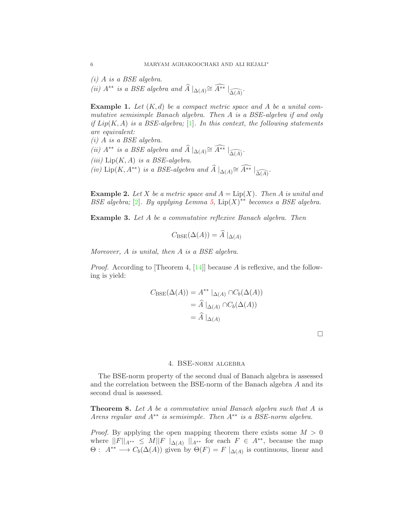*(i)* A *is a BSE algebra.*

*(ii)*  $A^{**}$  *is a BSE algebra and*  $\widehat{A} |_{\Delta(A)} \cong \widehat{A^{**}} |_{\widehat{\Delta(A)}}$ .

Example 1. *Let* (K, d) *be a compact metric space and* A *be a unital commutative semisimple Banach algebra. Then* A *is a BSE-algebra if and only if* Lip(K, A) *is a BSE-algebra;* [\[1\]](#page-7-3)*. In this context, the following statements are equivalent:*

*(i)* A *is a BSE algebra. (ii)*  $A^{**}$  *is a BSE algebra and*  $\widehat{A} |_{\Delta(A)} \cong \widehat{A^{**}} |_{\widehat{\Delta(A)}}$ . *(iii)* Lip(K, A) *is a BSE-algebra. (iv)* Lip(*K*,  $A^{**}$ *) is a BSE-algebra and*  $\widehat{A} |_{\Delta(A)} \cong \widehat{A^{**}} |_{\widehat{\Delta(A)}}$ *.* 

**Example 2.** Let X be a metric space and  $A = \text{Lip}(X)$ . Then A is unital and BSE algebra; [\[2\]](#page-7-5). By applying Lemma [5,](#page-4-0)  $\text{Lip}(X)$ <sup>\*\*</sup> *becomes a BSE algebra.* 

<span id="page-5-0"></span>Example 3. *Let* A *be a commutative reflexive Banach algebra. Then*

$$
C_{\text{BSE}}(\Delta(A)) = A|_{\Delta(A)}
$$

*Moreover,* A *is unital, then* A *is a BSE algebra.*

*Proof.* According to [Theorem 4, [\[14\]](#page-8-4)] because A is reflexive, and the following is yield:

$$
C_{\text{BSE}}(\Delta(A)) = A^{**} |_{\Delta(A)} \cap C_b(\Delta(A))
$$
  
=  $\widehat{A} |_{\Delta(A)} \cap C_b(\Delta(A))$   
=  $\widehat{A} |_{\Delta(A)}$ 

 $\Box$ 

# 4. BSE-norm algebra

The BSE-norm property of the second dual of Banach algebra is assessed and the correlation between the BSE-norm of the Banach algebra A and its second dual is assessed.

Theorem 8. *Let* A *be a commutative unial Banach algebra such that* A *is Arens regular and* A∗∗ *is semisimple. Then* A∗∗ *is a BSE-norm algebra.*

*Proof.* By applying the open mapping theorem there exists some  $M > 0$ where  $||F||_{A^{**}} \leq M||F||_{\Delta(A)} ||_{A^{**}}$  for each  $F \in A^{**}$ , because the map  $\Theta: A^{**} \longrightarrow C_b(\Delta(A))$  given by  $\Theta(F) = F |_{\Delta(A)}$  is continuous, linear and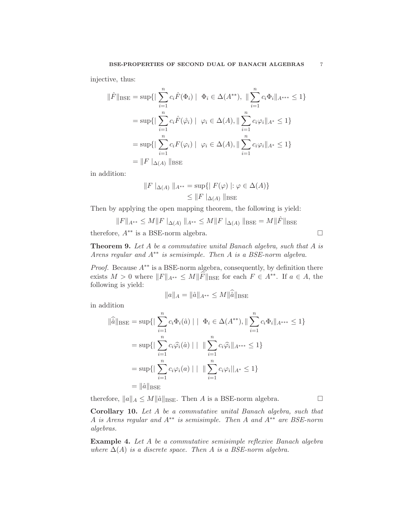injective, thus:

$$
\|\hat{F}\|_{\text{BSE}} = \sup \{ |\sum_{i=1}^{n} c_i \hat{F}(\Phi_i) | \Phi_i \in \Delta(A^{**}), ||\sum_{i=1}^{n} c_i \Phi_i||_{A^{***}} \le 1 \}
$$
  
= 
$$
\sup \{ |\sum_{i=1}^{n} c_i \hat{F}(\hat{\varphi}_i) | \varphi_i \in \Delta(A), ||\sum_{i=1}^{n} c_i \varphi_i||_{A^*} \le 1 \}
$$
  
= 
$$
\sup \{ |\sum_{i=1}^{n} c_i F(\varphi_i) | \varphi_i \in \Delta(A), ||\sum_{i=1}^{n} c_i \varphi_i||_{A^*} \le 1 \}
$$
  
= 
$$
||F||_{\Delta(A)} ||_{\text{BSE}}
$$

in addition:

$$
||F||_{\Delta(A)} ||_{A^{**}} = \sup \{ ||F(\varphi) || : \varphi \in \Delta(A) \}
$$
  

$$
\le ||F||_{\Delta(A)} ||_{BSE}
$$

Then by applying the open mapping theorem, the following is yield:

 $||F||_{A^{**}} \leq M||F||_{\Delta(A)} ||_{A^{**}} \leq M||F||_{\Delta(A)} ||_{BSE} = M||\hat{F}||_{BSE}$ 

therefore,  $A^{**}$  is a BSE-norm algebra.

Theorem 9. *Let* A *be a commutative unital Banach algebra, such that* A *is Arens regular and* A∗∗ *is semisimple. Then* A *is a BSE-norm algebra.*

*Proof.* Because  $A^{**}$  is a BSE-norm algebra, consequently, by definition there exists  $M > 0$  where  $||F||_{A^{**}} \leq M||\widehat{F}||_{BSE}$  for each  $F \in A^{**}$ . If  $a \in A$ , the following is yield:

$$
||a||_A = ||\hat{a}||_{A^{**}} \le M ||\hat{a}||_{BSE}
$$

in addition

$$
\|\hat{a}\|_{\text{BSE}} = \sup \{ |\sum_{i=1}^{n} c_i \Phi_i(\hat{a})| | \Phi_i \in \Delta(A^{**}), ||\sum_{i=1}^{n} c_i \Phi_i||_{A^{***}} \le 1 \}
$$
  
= 
$$
\sup \{ |\sum_{i=1}^{n} c_i \hat{\varphi}_i(\hat{a})| | ||\sum_{i=1}^{n} c_i \hat{\varphi}_i||_{A^{***}} \le 1 \}
$$
  
= 
$$
\sup \{ |\sum_{i=1}^{n} c_i \varphi_i(a) | || \sum_{i=1}^{n} c_i \varphi_i||_{A^{*}} \le 1 \}
$$
  
= 
$$
\|\hat{a}\|_{\text{BSE}}
$$

therefore,  $||a||_A \le M ||\hat{a}||_{BSE}$ . Then A is a BSE-norm algebra.

Corollary 10. *Let* A *be a commutative unital Banach algebra, such that* A *is Arens regular and* A∗∗ *is semisimple. Then* A *and* A∗∗ *are BSE-norm algebras.*

<span id="page-6-0"></span>Example 4. *Let* A *be a commutative semisimple reflexive Banach algebra where*  $\Delta(A)$  *is a discrete space. Then A is a BSE-norm algebra.*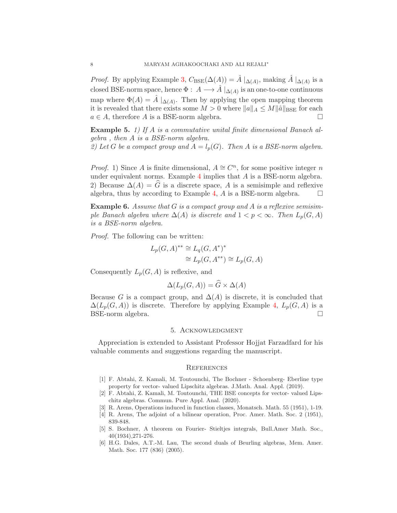*Proof.* By applying Example [3,](#page-5-0)  $C_{BSE}(\Delta(A)) = \hat{A} |_{\Delta(A)}$ , making  $\hat{A} |_{\Delta(A)}$  is a closed BSE-norm space, hence  $\Phi: A \longrightarrow \hat{A} \mid_{\Delta(A)}$  is an one-to-one continuous map where  $\Phi(A) = \hat{A} \mid_{\Delta(A)}$ . Then by applying the open mapping theorem it is revealed that there exists some  $M > 0$  where  $||a||_A \leq M ||\hat{a}||_{BSE}$  for each  $a \in A$ , therefore A is a BSE-norm algebra.

Example 5. *1) If* A *is a commutative unital finite dimensional Banach algebra , then* A *is a BSE-norm algebra.* 2) Let *G* be a compact group and  $A = l_p(G)$ . Then *A* is a BSE-norm algebra.

*Proof.* 1) Since A is finite dimensional,  $A \cong C^n$ , for some positive integer n under equivalent norms. Example [4](#page-6-0) implies that  $A$  is a BSE-norm algebra. 2) Because  $\Delta(A) = \hat{G}$  is a discrete space, A is a semisimple and reflexive algebra, thus by according to Example [4,](#page-6-0) A is a BSE-norm algebra.  $\square$ 

Example 6. *Assume that* G *is a compact group and* A *is a reflexive semisimple Banach algebra where*  $\Delta(A)$  *is discrete and*  $1 < p < \infty$ *. Then*  $L_p(G, A)$ *is a BSE-norm algebra.*

*Proof.* The following can be written:

$$
L_p(G, A)^{**} \cong L_q(G, A^*)^*
$$
  

$$
\cong L_p(G, A^{**}) \cong L_p(G, A)
$$

Consequently  $L_p(G, A)$  is reflexive, and

$$
\Delta(L_p(G,A)) = G \times \Delta(A)
$$

Because G is a compact group, and  $\Delta(A)$  is discrete, it is concluded that  $\Delta(L_p(G,A))$  is discrete. Therefore by applying Example [4,](#page-6-0)  $L_p(G,A)$  is a BSE-norm algebra.

# 5. Acknowledgment

Appreciation is extended to Assistant Professor Hojjat Farzadfard for his valuable comments and suggestions regarding the manuscript.

#### **REFERENCES**

- <span id="page-7-3"></span>[1] F. Abtahi, Z. Kamali, M. Toutounchi, The Bochner - Schoenberg- Eberline type property for vector- valued Lipschitz algebras. J.Math. Anal. Appl. (2019).
- <span id="page-7-5"></span>[2] F. Abtahi, Z. Kamali, M. Toutounchi, THE BSE concepts for vector- valued Lipschitz algebras. Commun. Pure Appl. Anal. (2020).
- <span id="page-7-1"></span><span id="page-7-0"></span>[3] R. Arens, Operations induced in function classes, Monatsch. Math. 55 (1951), 1-19.
- <span id="page-7-2"></span>[4] R. Arens, The adjoint of a bilinear operation, Proc. Amer. Math. Soc. 2 (1951), 839-848.
- [5] S. Bochner, A theorem on Fourier- Stieltjes integrals, Bull.Amer Math. Soc., 40(1934),271-276.
- <span id="page-7-4"></span>[6] H.G. Dales, A.T.-M. Lau, The second duals of Beurling algebras, Mem. Amer. Math. Soc. 177 (836) (2005).